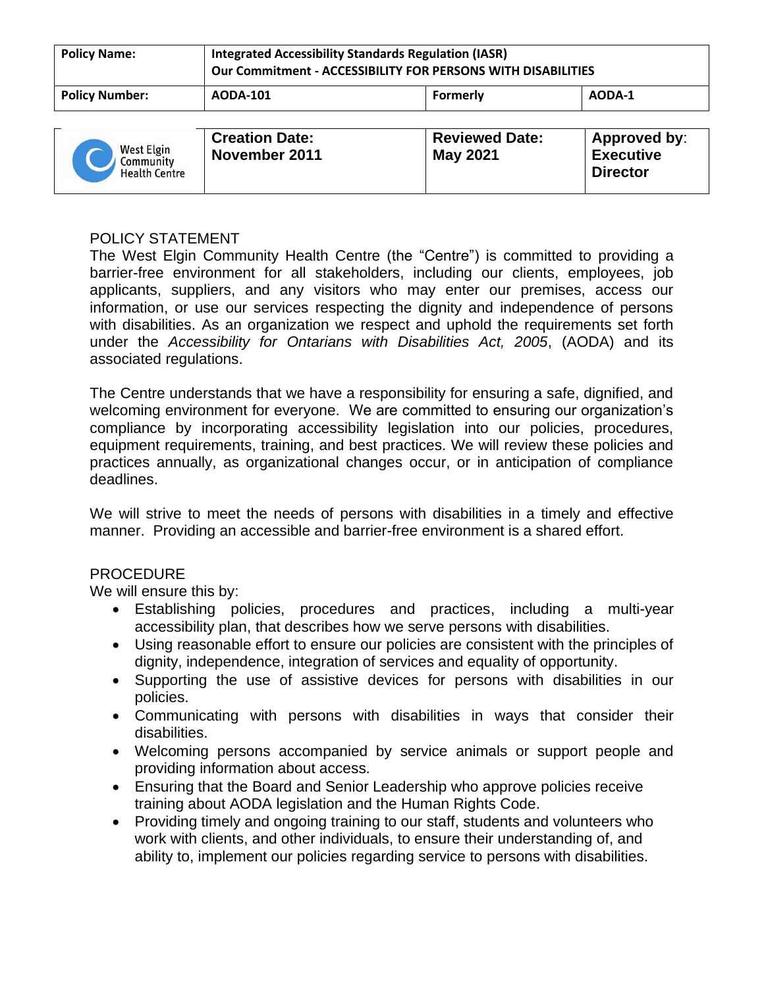| <b>Policy Name:</b>   | <b>Integrated Accessibility Standards Regulation (IASR)</b><br><b>Our Commitment - ACCESSIBILITY FOR PERSONS WITH DISABILITIES</b> |          |        |  |
|-----------------------|------------------------------------------------------------------------------------------------------------------------------------|----------|--------|--|
| <b>Policy Number:</b> | <b>AODA-101</b>                                                                                                                    | Formerly | AODA-1 |  |

## POLICY STATEMENT

The West Elgin Community Health Centre (the "Centre") is committed to providing a barrier-free environment for all stakeholders, including our clients, employees, job applicants, suppliers, and any visitors who may enter our premises, access our information, or use our services respecting the dignity and independence of persons with disabilities. As an organization we respect and uphold the requirements set forth under the *Accessibility for Ontarians with Disabilities Act, 2005*, (AODA) and its associated regulations.

The Centre understands that we have a responsibility for ensuring a safe, dignified, and welcoming environment for everyone. We are committed to ensuring our organization's compliance by incorporating accessibility legislation into our policies, procedures, equipment requirements, training, and best practices. We will review these policies and practices annually, as organizational changes occur, or in anticipation of compliance deadlines.

We will strive to meet the needs of persons with disabilities in a timely and effective manner. Providing an accessible and barrier-free environment is a shared effort.

## PROCEDURE

We will ensure this by:

- Establishing policies, procedures and practices, including a multi-year accessibility plan, that describes how we serve persons with disabilities.
- Using reasonable effort to ensure our policies are consistent with the principles of dignity, independence, integration of services and equality of opportunity.
- Supporting the use of assistive devices for persons with disabilities in our policies.
- Communicating with persons with disabilities in ways that consider their disabilities.
- Welcoming persons accompanied by service animals or support people and providing information about access.
- Ensuring that the Board and Senior Leadership who approve policies receive training about AODA legislation and the Human Rights Code.
- Providing timely and ongoing training to our staff, students and volunteers who work with clients, and other individuals, to ensure their understanding of, and ability to, implement our policies regarding service to persons with disabilities.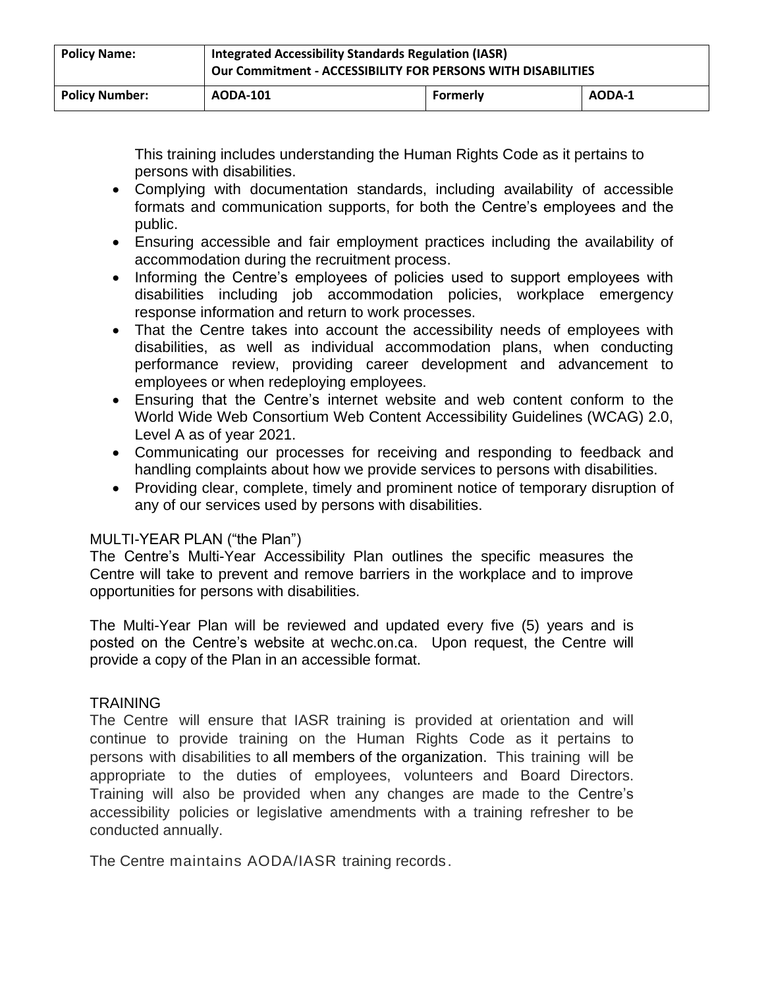| <b>Policy Name:</b>   | <b>Integrated Accessibility Standards Regulation (IASR)</b><br><b>Our Commitment - ACCESSIBILITY FOR PERSONS WITH DISABILITIES</b> |          |        |  |
|-----------------------|------------------------------------------------------------------------------------------------------------------------------------|----------|--------|--|
| <b>Policy Number:</b> | <b>AODA-101</b>                                                                                                                    | Formerly | AODA-1 |  |

This training includes understanding the Human Rights Code as it pertains to persons with disabilities.

- Complying with documentation standards, including availability of accessible formats and communication supports, for both the Centre's employees and the public.
- Ensuring accessible and fair employment practices including the availability of accommodation during the recruitment process.
- Informing the Centre's employees of policies used to support employees with disabilities including job accommodation policies, workplace emergency response information and return to work processes.
- That the Centre takes into account the accessibility needs of employees with disabilities, as well as individual accommodation plans, when conducting performance review, providing career development and advancement to employees or when redeploying employees.
- Ensuring that the Centre's internet website and web content conform to the World Wide Web Consortium Web Content Accessibility Guidelines (WCAG) 2.0, Level A as of year 2021.
- Communicating our processes for receiving and responding to feedback and handling complaints about how we provide services to persons with disabilities.
- Providing clear, complete, timely and prominent notice of temporary disruption of any of our services used by persons with disabilities.

# MULTI-YEAR PLAN ("the Plan")

The Centre's Multi-Year Accessibility Plan outlines the specific measures the Centre will take to prevent and remove barriers in the workplace and to improve opportunities for persons with disabilities.

The Multi-Year Plan will be reviewed and updated every five (5) years and is posted on the Centre's website at wechc.on.ca. Upon request, the Centre will provide a copy of the Plan in an accessible format.

## TRAINING

The Centre will ensure that IASR training is provided at orientation and will continue to provide training on the Human Rights Code as it pertains to persons with disabilities to all members of the organization. This training will be appropriate to the duties of employees, volunteers and Board Directors. Training will also be provided when any changes are made to the Centre's accessibility policies or legislative amendments with a training refresher to be conducted annually.

The Centre maintains AODA/IASR training records.